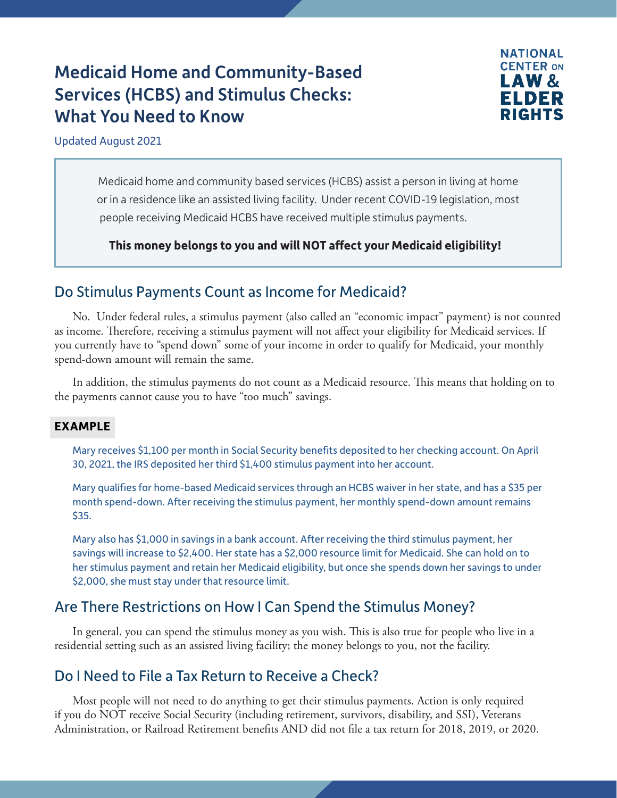# Medicaid Home and Community-Based Services (HCBS) and Stimulus Checks: What You Need to Know



#### Updated August 2021

Medicaid home and community based services (HCBS) assist a person in living at home or in a residence like an assisted living facility. Under recent COVID-19 legislation, most people receiving Medicaid HCBS have received multiple stimulus payments.

#### **This money belongs to you and will NOT affect your Medicaid eligibility!**

### Do Stimulus Payments Count as Income for Medicaid?

No. Under federal rules, a stimulus payment (also called an "economic impact" payment) is not counted as income. Therefore, receiving a stimulus payment will not affect your eligibility for Medicaid services. If you currently have to "spend down" some of your income in order to qualify for Medicaid, your monthly spend-down amount will remain the same.

In addition, the stimulus payments do not count as a Medicaid resource. This means that holding on to the payments cannot cause you to have "too much" savings.

#### **EXAMPLE**

Mary receives \$1,100 per month in Social Security benefits deposited to her checking account. On April 30, 2021, the IRS deposited her third \$1,400 stimulus payment into her account.

Mary qualifies for home-based Medicaid services through an HCBS waiver in her state, and has a \$35 per month spend-down. After receiving the stimulus payment, her monthly spend-down amount remains \$35.

Mary also has \$1,000 in savings in a bank account. After receiving the third stimulus payment, her savings will increase to \$2,400. Her state has a \$2,000 resource limit for Medicaid. She can hold on to her stimulus payment and retain her Medicaid eligibility, but once she spends down her savings to under \$2,000, she must stay under that resource limit.

### Are There Restrictions on How I Can Spend the Stimulus Money?

In general, you can spend the stimulus money as you wish. This is also true for people who live in a residential setting such as an assisted living facility; the money belongs to you, not the facility.

### Do I Need to File a Tax Return to Receive a Check?

Most people will not need to do anything to get their stimulus payments. Action is only required if you do NOT receive Social Security (including retirement, survivors, disability, and SSI), Veterans Administration, or Railroad Retirement benefits AND did not file a tax return for 2018, 2019, or 2020.